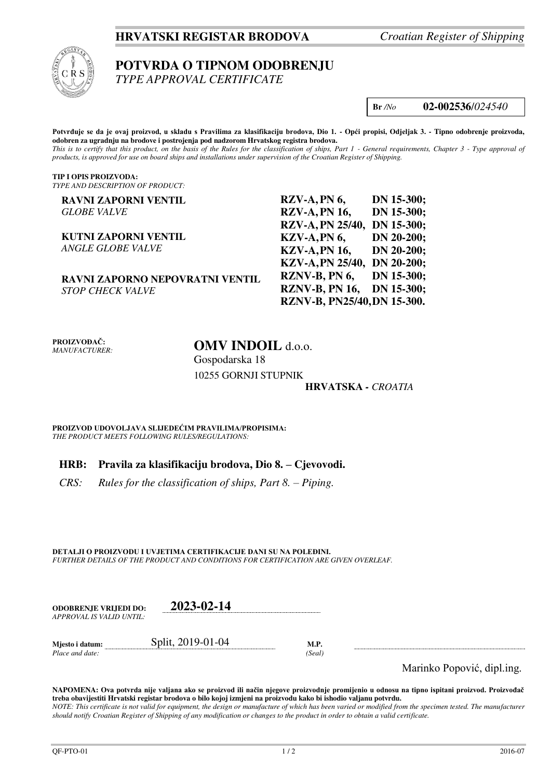## **HRVATSKI REGISTAR BRODOVA** *Croatian Register of Shipping*



# **POTVRDA O TIPNOM ODOBRENJU**

*TYPE APPROVAL CERTIFICATE* 

**Br** */No* **02-002536**/*024540*

**Potvrđuje se da je ovaj proizvod, u skladu s Pravilima za klasifikaciju brodova, Dio 1. - Opći propisi, Odjeljak 3. - Tipno odobrenje proizvoda, odobren za ugradnju na brodove i postrojenja pod nadzorom Hrvatskog registra brodova.**  *This is to certify that this product, on the basis of the Rules for the classification of ships, Part 1 - General requirements, Chapter 3 - Type approval of products, is approved for use on board ships and installations under supervision of the Croatian Register of Shipping.* 

**TIP I OPIS PROIZVODA:** *TYPE AND DESCRIPTION OF PRODUCT:* 

| <b>RAVNI ZAPORNI VENTIL</b>     | $RZV-A, PN6,$               | DN 15-300;   |
|---------------------------------|-----------------------------|--------------|
| <b>GLOBE VALVE</b>              | <b>RZV-A, PN 16,</b>        | DN 15-300;   |
|                                 | RZV-A, PN 25/40, DN 15-300; |              |
| <b>KUTNI ZAPORNI VENTIL</b>     | KZV-A, PN 6,                | DN 20-200;   |
| <b>ANGLE GLOBE VALVE</b>        | <b>KZV-A, PN 16,</b>        | $DN 20-200;$ |
|                                 | KZV-A, PN 25/40, DN 20-200; |              |
| RAVNI ZAPORNO NEPOVRATNI VENTIL | RZNV-B, PN 6,               | DN 15-300;   |
| <b>STOP CHECK VALVE</b>         | RZNV-B, PN 16, DN 15-300;   |              |
|                                 | RZNV-B, PN25/40, DN 15-300. |              |

**PROIZVOĐAČ:** *MANUFACTURER:*

## **OMV INDOIL** d.o.o. Gospodarska 18 10255 GORNJI STUPNIK

#### **HRVATSKA** *- CROATIA*

**PROIZVOD UDOVOLJAVA SLIJEDEĆIM PRAVILIMA/PROPISIMA:** *THE PRODUCT MEETS FOLLOWING RULES/REGULATIONS:* 

## **HRB: Pravila za klasifikaciju brodova, Dio 8. – Cjevovodi.**

*CRS:* Rules for the classification of ships, Part 8. – Piping.

**DETALJI O PROIZVODU I UVJETIMA CERTIFIKACIJE DANI SU NA POLEĐINI.** *FURTHER DETAILS OF THE PRODUCT AND CONDITIONS FOR CERTIFICATION ARE GIVEN OVERLEAF.* 

| <b>ODOBRENJE VRLIEDI DO:</b> | 2023-02-14 |
|------------------------------|------------|
| APPROVAL IS VALID UNTIL:-    |            |
|                              |            |

**Mjesto i datum:** Split, 2019-01-04 **M.P.**  *Place and date: (Seal)* 

Marinko Popović, dipl.ing.

**NAPOMENA: Ova potvrda nije valjana ako se proizvod ili način njegove proizvodnje promijenio u odnosu na tipno ispitani proizvod. Proizvođač treba obavijestiti Hrvatski registar brodova o bilo kojoj izmjeni na proizvodu kako bi ishodio valjanu potvrdu.**  *NOTE: This certificate is not valid for equipment, the design or manufacture of which has been varied or modified from the specimen tested. The manufacturer should notify Croatian Register of Shipping of any modification or changes to the product in order to obtain a valid certificate.*